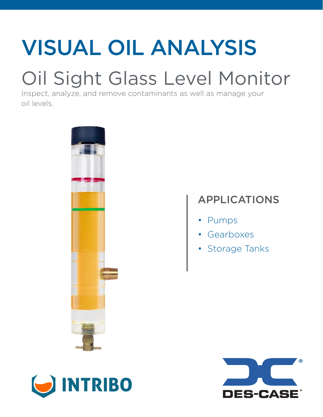# VISUAL OIL ANALYSIS

## Oil Sight Glass Level Monitor

Inspect, analyze, and remove contaminants as well as manage your oil levels.



### APPLICATIONS

- Pumps
- Gearboxes
- Storage Tanks



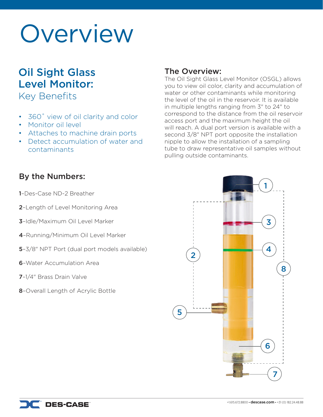## Overview

### Oil Sight Glass Level Monitor:

Key Benefits

- 360° view of oil clarity and color
- Monitor oil level
- Attaches to machine drain ports
- Detect accumulation of water and contaminants

### The Overview:

The Oil Sight Glass Level Monitor (OSGL) allows you to view oil color, clarity and accumulation of water or other contaminants while monitoring the level of the oil in the reservoir. It is available in multiple lengths ranging from 3" to 24" to correspond to the distance from the oil reservoir access port and the maximum height the oil will reach. A dual port version is available with a second 3/8" NPT port opposite the installation nipple to allow the installation of a sampling tube to draw representative oil samples without pulling outside contaminants.

### By the Numbers:

1–Des-Case ND-2 Breather

- 2–Length of Level Monitoring Area
- 3–Idle/Maximum Oil Level Marker
- 4–Running/Minimum Oil Level Marker
- 5–3/8" NPT Port (dual port models available)
- 6–Water Accumulation Area
- 7–1/4" Brass Drain Valve
- 8–Overall Length of Acrylic Bottle